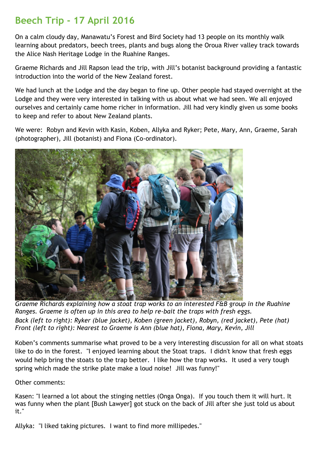## **Beech Trip - 17 April 2016**

On a calm cloudy day, Manawatu's Forest and Bird Society had 13 people on its monthly walk learning about predators, beech trees, plants and bugs along the Oroua River valley track towards the Alice Nash Heritage Lodge in the Ruahine Ranges.

Graeme Richards and Jill Rapson lead the trip, with Jill's botanist background providing a fantastic introduction into the world of the New Zealand forest.

We had lunch at the Lodge and the day began to fine up. Other people had stayed overnight at the Lodge and they were very interested in talking with us about what we had seen. We all enjoyed ourselves and certainly came home richer in information. Jill had very kindly given us some books to keep and refer to about New Zealand plants.

We were: Robyn and Kevin with Kasin, Koben, Allyka and Ryker; Pete, Mary, Ann, Graeme, Sarah (photographer), Jill (botanist) and Fiona (Co-ordinator).



*Graeme Richards explaining how a stoat trap works to an interested F&B group in the Ruahine Ranges. Graeme is often up in this area to help re-bait the traps with fresh eggs. Back (left to right): Ryker (blue jacket), Koben (green jacket), Robyn, (red jacket), Pete (hat) Front (left to right): Nearest to Graeme is Ann (blue hat), Fiona, Mary, Kevin, Jill*

Koben's comments summarise what proved to be a very interesting discussion for all on what stoats like to do in the forest. "I enjoyed learning about the Stoat traps. I didn't know that fresh eggs would help bring the stoats to the trap better. I like how the trap works. It used a very tough spring which made the strike plate make a loud noise! Jill was funny!"

## Other comments:

Kasen: "I learned a lot about the stinging nettles (Onga Onga). If you touch them it will hurt. It was funny when the plant [Bush Lawyer] got stuck on the back of Jill after she just told us about it."

Allyka: "I liked taking pictures. I want to find more millipedes."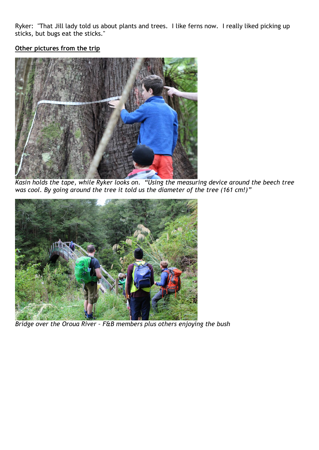Ryker: "That Jill lady told us about plants and trees. I like ferns now. I really liked picking up sticks, but bugs eat the sticks."

## **Other pictures from the trip**



*Kasin holds the tape, while Ryker looks on. "Using the measuring device around the beech tree was cool. By going around the tree it told us the diameter of the tree (161 cm!)"*



*Bridge over the Oroua River – F&B members plus others enjoying the bush*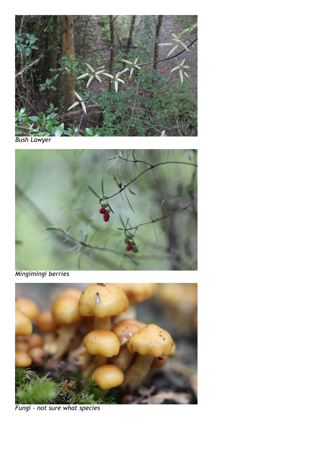

*Bush Lawyer*



*Mingimingi berries*



*Fungi - not sure what species*